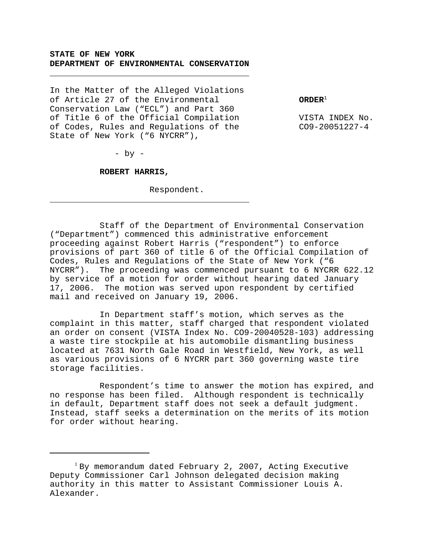# **STATE OF NEW YORK DEPARTMENT OF ENVIRONMENTAL CONSERVATION**

\_\_\_\_\_\_\_\_\_\_\_\_\_\_\_\_\_\_\_\_\_\_\_\_\_\_\_\_\_\_\_\_\_\_\_\_\_\_\_\_

In the Matter of the Alleged Violations of Article 27 of the Environmental **ORDER**<sup>1</sup> Conservation Law ("ECL") and Part 360 of Title 6 of the Official Compilation VISTA INDEX No. of Codes, Rules and Regulations of the CO9-20051227-4 State of New York ("6 NYCRR"),

 $-$  by  $-$ 

j.

# **ROBERT HARRIS,**

Respondent.

Staff of the Department of Environmental Conservation ("Department") commenced this administrative enforcement proceeding against Robert Harris ("respondent") to enforce provisions of part 360 of title 6 of the Official Compilation of Codes, Rules and Regulations of the State of New York ("6 NYCRR"). The proceeding was commenced pursuant to 6 NYCRR 622.12 by service of a motion for order without hearing dated January 17, 2006. The motion was served upon respondent by certified mail and received on January 19, 2006.

In Department staff's motion, which serves as the complaint in this matter, staff charged that respondent violated an order on consent (VISTA Index No. CO9-20040528-103) addressing a waste tire stockpile at his automobile dismantling business located at 7631 North Gale Road in Westfield, New York, as well as various provisions of 6 NYCRR part 360 governing waste tire storage facilities.

Respondent's time to answer the motion has expired, and no response has been filed. Although respondent is technically in default, Department staff does not seek a default judgment. Instead, staff seeks a determination on the merits of its motion for order without hearing.

<sup>&</sup>lt;sup>1</sup> By memorandum dated February 2, 2007, Acting Executive Deputy Commissioner Carl Johnson delegated decision making authority in this matter to Assistant Commissioner Louis A. Alexander.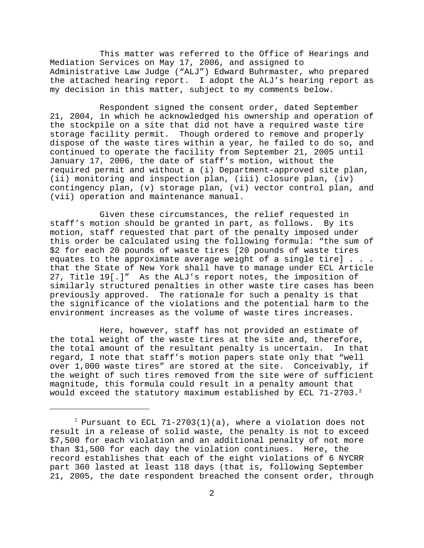This matter was referred to the Office of Hearings and Mediation Services on May 17, 2006, and assigned to Administrative Law Judge ("ALJ") Edward Buhrmaster, who prepared the attached hearing report. I adopt the ALJ's hearing report as my decision in this matter, subject to my comments below.

Respondent signed the consent order, dated September 21, 2004, in which he acknowledged his ownership and operation of the stockpile on a site that did not have a required waste tire storage facility permit. Though ordered to remove and properly dispose of the waste tires within a year, he failed to do so, and continued to operate the facility from September 21, 2005 until January 17, 2006, the date of staff's motion, without the required permit and without a (i) Department-approved site plan, (ii) monitoring and inspection plan, (iii) closure plan, (iv) contingency plan, (v) storage plan, (vi) vector control plan, and (vii) operation and maintenance manual.

Given these circumstances, the relief requested in staff's motion should be granted in part, as follows. By its motion, staff requested that part of the penalty imposed under this order be calculated using the following formula: "the sum of \$2 for each 20 pounds of waste tires [20 pounds of waste tires equates to the approximate average weight of a single tire] . . . that the State of New York shall have to manage under ECL Article 27, Title 19[.]" As the ALJ's report notes, the imposition of similarly structured penalties in other waste tire cases has been previously approved. The rationale for such a penalty is that the significance of the violations and the potential harm to the environment increases as the volume of waste tires increases.

Here, however, staff has not provided an estimate of the total weight of the waste tires at the site and, therefore, the total amount of the resultant penalty is uncertain. In that regard, I note that staff's motion papers state only that "well over 1,000 waste tires" are stored at the site. Conceivably, if the weight of such tires removed from the site were of sufficient magnitude, this formula could result in a penalty amount that would exceed the statutory maximum established by ECL 71-2703.<sup>2</sup>

 $^2$  Pursuant to ECL 71-2703(1)(a), where a violation does not result in a release of solid waste, the penalty is not to exceed \$7,500 for each violation and an additional penalty of not more than \$1,500 for each day the violation continues. Here, the record establishes that each of the eight violations of 6 NYCRR part 360 lasted at least 118 days (that is, following September 21, 2005, the date respondent breached the consent order, through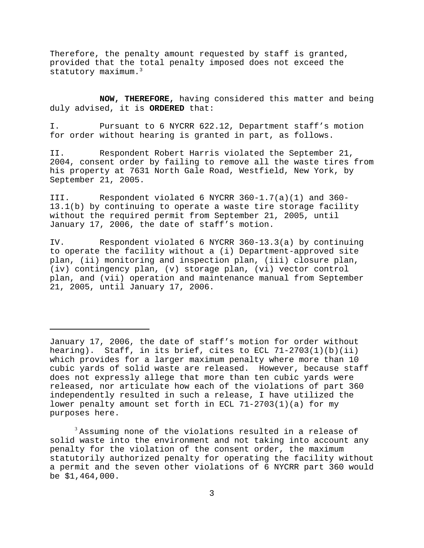Therefore, the penalty amount requested by staff is granted, provided that the total penalty imposed does not exceed the statutory maximum.<sup>3</sup>

**NOW, THEREFORE,** having considered this matter and being duly advised, it is **ORDERED** that:

I. Pursuant to 6 NYCRR 622.12, Department staff's motion for order without hearing is granted in part, as follows.

II. Respondent Robert Harris violated the September 21, 2004, consent order by failing to remove all the waste tires from his property at 7631 North Gale Road, Westfield, New York, by September 21, 2005.

III. Respondent violated 6 NYCRR 360-1.7(a)(1) and 360- 13.1(b) by continuing to operate a waste tire storage facility without the required permit from September 21, 2005, until January 17, 2006, the date of staff's motion.

IV. Respondent violated 6 NYCRR 360-13.3(a) by continuing to operate the facility without a (i) Department-approved site plan, (ii) monitoring and inspection plan, (iii) closure plan, (iv) contingency plan, (v) storage plan, (vi) vector control plan, and (vii) operation and maintenance manual from September 21, 2005, until January 17, 2006.

 $3$  Assuming none of the violations resulted in a release of solid waste into the environment and not taking into account any penalty for the violation of the consent order, the maximum statutorily authorized penalty for operating the facility without a permit and the seven other violations of 6 NYCRR part 360 would be \$1,464,000.

January 17, 2006, the date of staff's motion for order without hearing). Staff, in its brief, cites to ECL 71-2703(1)(b)(ii) which provides for a larger maximum penalty where more than 10 cubic yards of solid waste are released. However, because staff does not expressly allege that more than ten cubic yards were released, nor articulate how each of the violations of part 360 independently resulted in such a release, I have utilized the lower penalty amount set forth in ECL 71-2703(1)(a) for my purposes here.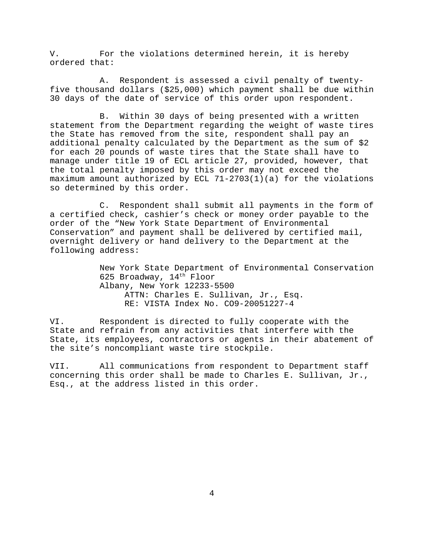V. For the violations determined herein, it is hereby ordered that:

A. Respondent is assessed a civil penalty of twentyfive thousand dollars (\$25,000) which payment shall be due within 30 days of the date of service of this order upon respondent.

B. Within 30 days of being presented with a written statement from the Department regarding the weight of waste tires the State has removed from the site, respondent shall pay an additional penalty calculated by the Department as the sum of \$2 for each 20 pounds of waste tires that the State shall have to manage under title 19 of ECL article 27, provided, however, that the total penalty imposed by this order may not exceed the maximum amount authorized by ECL 71-2703(1)(a) for the violations so determined by this order.

C. Respondent shall submit all payments in the form of a certified check, cashier's check or money order payable to the order of the "New York State Department of Environmental Conservation" and payment shall be delivered by certified mail, overnight delivery or hand delivery to the Department at the following address:

> New York State Department of Environmental Conservation 625 Broadway, 14<sup>th</sup> Floor Albany, New York 12233-5500 ATTN: Charles E. Sullivan, Jr., Esq. RE: VISTA Index No. CO9-20051227-4

VI. Respondent is directed to fully cooperate with the State and refrain from any activities that interfere with the State, its employees, contractors or agents in their abatement of the site's noncompliant waste tire stockpile.

VII. All communications from respondent to Department staff concerning this order shall be made to Charles E. Sullivan, Jr., Esq., at the address listed in this order.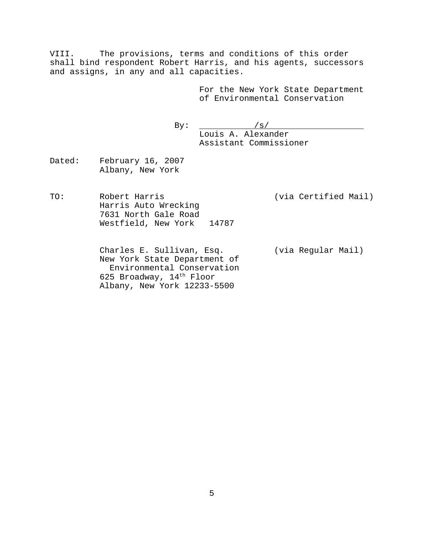VIII. The provisions, terms and conditions of this order shall bind respondent Robert Harris, and his agents, successors and assigns, in any and all capacities.

> For the New York State Department of Environmental Conservation

By:  $/s/$ Louis A. Alexander Assistant Commissioner

Dated: February 16, 2007 Albany, New York

TO: Robert Harris (via Certified Mail) Harris Auto Wrecking 7631 North Gale Road Westfield, New York 14787

> Charles E. Sullivan, Esq. (via Regular Mail) New York State Department of Environmental Conservation 625 Broadway,  $14^{\text{th}}$  Floor Albany, New York 12233-5500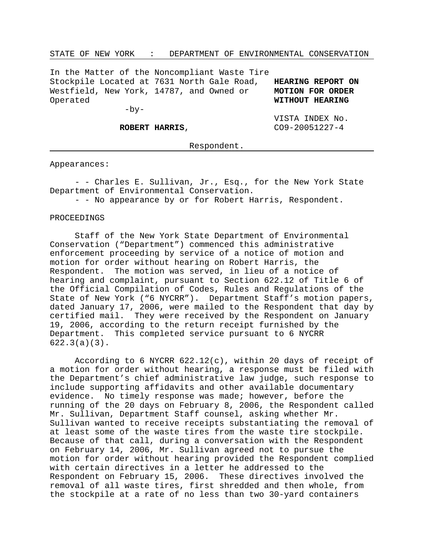#### STATE OF NEW YORK : DEPARTMENT OF ENVIRONMENTAL CONSERVATION

In the Matter of the Noncompliant Waste Tire Stockpile Located at 7631 North Gale Road, **HEARING REPORT ON** Westfield, New York, 14787, and Owned or **MOTION FOR ORDER** Operated **WITHOUT HEARING**

 $-by-$ 

VISTA INDEX No. **ROBERT HARRIS, CO9-20051227-4** 

Respondent.

#### Appearances:

- - Charles E. Sullivan, Jr., Esq., for the New York State Department of Environmental Conservation.

- - No appearance by or for Robert Harris, Respondent.

### PROCEEDINGS

Staff of the New York State Department of Environmental Conservation ("Department") commenced this administrative enforcement proceeding by service of a notice of motion and motion for order without hearing on Robert Harris, the Respondent. The motion was served, in lieu of a notice of hearing and complaint, pursuant to Section 622.12 of Title 6 of the Official Compilation of Codes, Rules and Regulations of the State of New York ("6 NYCRR"). Department Staff's motion papers, dated January 17, 2006, were mailed to the Respondent that day by certified mail. They were received by the Respondent on January 19, 2006, according to the return receipt furnished by the Department. This completed service pursuant to 6 NYCRR 622.3(a)(3).

According to 6 NYCRR 622.12(c), within 20 days of receipt of a motion for order without hearing, a response must be filed with the Department's chief administrative law judge, such response to include supporting affidavits and other available documentary evidence. No timely response was made; however, before the running of the 20 days on February 8, 2006, the Respondent called Mr. Sullivan, Department Staff counsel, asking whether Mr. Sullivan wanted to receive receipts substantiating the removal of at least some of the waste tires from the waste tire stockpile. Because of that call, during a conversation with the Respondent on February 14, 2006, Mr. Sullivan agreed not to pursue the motion for order without hearing provided the Respondent complied with certain directives in a letter he addressed to the Respondent on February 15, 2006. These directives involved the removal of all waste tires, first shredded and then whole, from the stockpile at a rate of no less than two 30-yard containers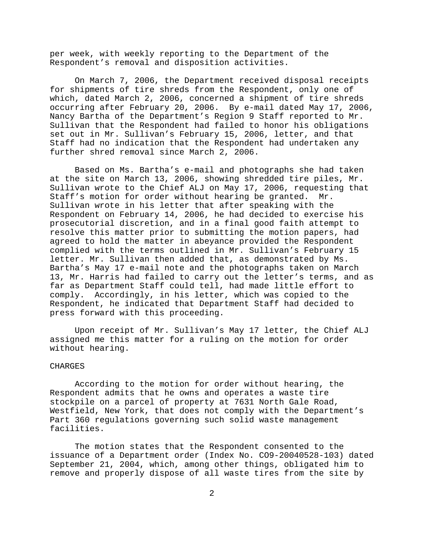per week, with weekly reporting to the Department of the Respondent's removal and disposition activities.

On March 7, 2006, the Department received disposal receipts for shipments of tire shreds from the Respondent, only one of which, dated March 2, 2006, concerned a shipment of tire shreds occurring after February 20, 2006. By e-mail dated May 17, 2006, Nancy Bartha of the Department's Region 9 Staff reported to Mr. Sullivan that the Respondent had failed to honor his obligations set out in Mr. Sullivan's February 15, 2006, letter, and that Staff had no indication that the Respondent had undertaken any further shred removal since March 2, 2006.

Based on Ms. Bartha's e-mail and photographs she had taken at the site on March 13, 2006, showing shredded tire piles, Mr. Sullivan wrote to the Chief ALJ on May 17, 2006, requesting that Staff's motion for order without hearing be granted. Mr. Sullivan wrote in his letter that after speaking with the Respondent on February 14, 2006, he had decided to exercise his prosecutorial discretion, and in a final good faith attempt to resolve this matter prior to submitting the motion papers, had agreed to hold the matter in abeyance provided the Respondent complied with the terms outlined in Mr. Sullivan's February 15 letter. Mr. Sullivan then added that, as demonstrated by Ms. Bartha's May 17 e-mail note and the photographs taken on March 13, Mr. Harris had failed to carry out the letter's terms, and as far as Department Staff could tell, had made little effort to comply. Accordingly, in his letter, which was copied to the Respondent, he indicated that Department Staff had decided to press forward with this proceeding.

Upon receipt of Mr. Sullivan's May 17 letter, the Chief ALJ assigned me this matter for a ruling on the motion for order without hearing.

#### CHARGES

According to the motion for order without hearing, the Respondent admits that he owns and operates a waste tire stockpile on a parcel of property at 7631 North Gale Road, Westfield, New York, that does not comply with the Department's Part 360 regulations governing such solid waste management facilities.

The motion states that the Respondent consented to the issuance of a Department order (Index No. CO9-20040528-103) dated September 21, 2004, which, among other things, obligated him to remove and properly dispose of all waste tires from the site by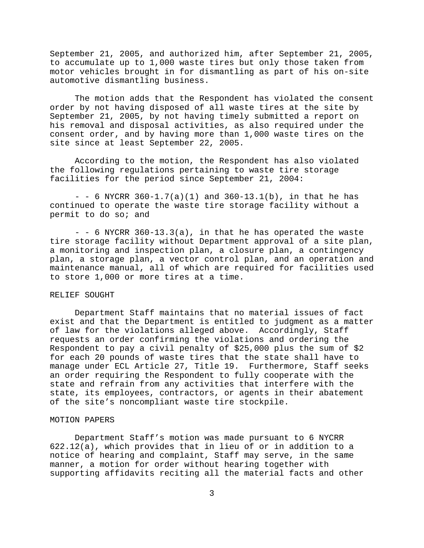September 21, 2005, and authorized him, after September 21, 2005, to accumulate up to 1,000 waste tires but only those taken from motor vehicles brought in for dismantling as part of his on-site automotive dismantling business.

The motion adds that the Respondent has violated the consent order by not having disposed of all waste tires at the site by September 21, 2005, by not having timely submitted a report on his removal and disposal activities, as also required under the consent order, and by having more than 1,000 waste tires on the site since at least September 22, 2005.

According to the motion, the Respondent has also violated the following regulations pertaining to waste tire storage facilities for the period since September 21, 2004:

 $-$  - 6 NYCRR 360-1.7(a)(1) and 360-13.1(b), in that he has continued to operate the waste tire storage facility without a permit to do so; and

 $-$  - 6 NYCRR 360-13.3(a), in that he has operated the waste tire storage facility without Department approval of a site plan, a monitoring and inspection plan, a closure plan, a contingency plan, a storage plan, a vector control plan, and an operation and maintenance manual, all of which are required for facilities used to store 1,000 or more tires at a time.

# RELIEF SOUGHT

Department Staff maintains that no material issues of fact exist and that the Department is entitled to judgment as a matter of law for the violations alleged above. Accordingly, Staff requests an order confirming the violations and ordering the Respondent to pay a civil penalty of \$25,000 plus the sum of \$2 for each 20 pounds of waste tires that the state shall have to manage under ECL Article 27, Title 19. Furthermore, Staff seeks an order requiring the Respondent to fully cooperate with the state and refrain from any activities that interfere with the state, its employees, contractors, or agents in their abatement of the site's noncompliant waste tire stockpile.

#### MOTION PAPERS

Department Staff's motion was made pursuant to 6 NYCRR 622.12(a), which provides that in lieu of or in addition to a notice of hearing and complaint, Staff may serve, in the same manner, a motion for order without hearing together with supporting affidavits reciting all the material facts and other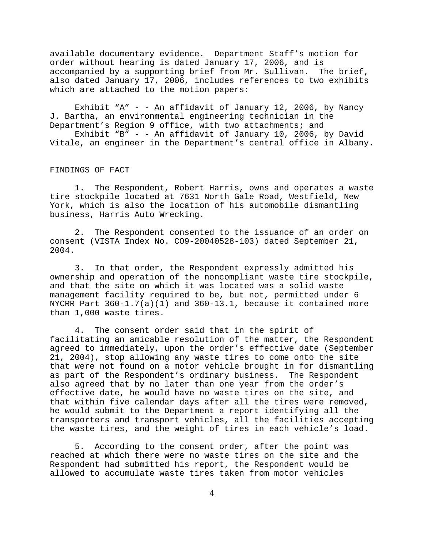available documentary evidence. Department Staff's motion for order without hearing is dated January 17, 2006, and is accompanied by a supporting brief from Mr. Sullivan. The brief, also dated January 17, 2006, includes references to two exhibits which are attached to the motion papers:

Exhibit "A" - - An affidavit of January 12, 2006, by Nancy J. Bartha, an environmental engineering technician in the Department's Region 9 office, with two attachments; and

Exhibit "B" - - An affidavit of January 10, 2006, by David Vitale, an engineer in the Department's central office in Albany.

#### FINDINGS OF FACT

1. The Respondent, Robert Harris, owns and operates a waste tire stockpile located at 7631 North Gale Road, Westfield, New York, which is also the location of his automobile dismantling business, Harris Auto Wrecking.

2. The Respondent consented to the issuance of an order on consent (VISTA Index No. CO9-20040528-103) dated September 21, 2004.

3. In that order, the Respondent expressly admitted his ownership and operation of the noncompliant waste tire stockpile, and that the site on which it was located was a solid waste management facility required to be, but not, permitted under 6 NYCRR Part  $360-1.7(a)(1)$  and  $360-13.1$ , because it contained more than 1,000 waste tires.

4. The consent order said that in the spirit of facilitating an amicable resolution of the matter, the Respondent agreed to immediately, upon the order's effective date (September 21, 2004), stop allowing any waste tires to come onto the site that were not found on a motor vehicle brought in for dismantling as part of the Respondent's ordinary business. The Respondent also agreed that by no later than one year from the order's effective date, he would have no waste tires on the site, and that within five calendar days after all the tires were removed, he would submit to the Department a report identifying all the transporters and transport vehicles, all the facilities accepting the waste tires, and the weight of tires in each vehicle's load.

5. According to the consent order, after the point was reached at which there were no waste tires on the site and the Respondent had submitted his report, the Respondent would be allowed to accumulate waste tires taken from motor vehicles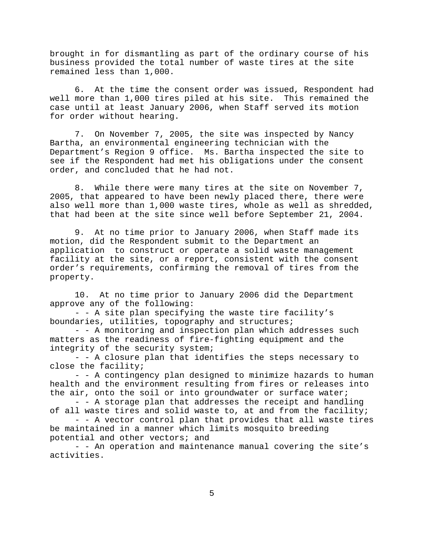brought in for dismantling as part of the ordinary course of his business provided the total number of waste tires at the site remained less than 1,000.

6. At the time the consent order was issued, Respondent had well more than 1,000 tires piled at his site. This remained the case until at least January 2006, when Staff served its motion for order without hearing.

7. On November 7, 2005, the site was inspected by Nancy Bartha, an environmental engineering technician with the Department's Region 9 office. Ms. Bartha inspected the site to see if the Respondent had met his obligations under the consent order, and concluded that he had not.

8. While there were many tires at the site on November 7, 2005, that appeared to have been newly placed there, there were also well more than 1,000 waste tires, whole as well as shredded, that had been at the site since well before September 21, 2004.

9. At no time prior to January 2006, when Staff made its motion, did the Respondent submit to the Department an application to construct or operate a solid waste management facility at the site, or a report, consistent with the consent order's requirements, confirming the removal of tires from the property.

10. At no time prior to January 2006 did the Department approve any of the following:

- - A site plan specifying the waste tire facility's boundaries, utilities, topography and structures;

- - A monitoring and inspection plan which addresses such matters as the readiness of fire-fighting equipment and the integrity of the security system;

- - A closure plan that identifies the steps necessary to close the facility;

- - A contingency plan designed to minimize hazards to human health and the environment resulting from fires or releases into the air, onto the soil or into groundwater or surface water;

- - A storage plan that addresses the receipt and handling of all waste tires and solid waste to, at and from the facility;

- - A vector control plan that provides that all waste tires be maintained in a manner which limits mosquito breeding potential and other vectors; and

- - An operation and maintenance manual covering the site's activities.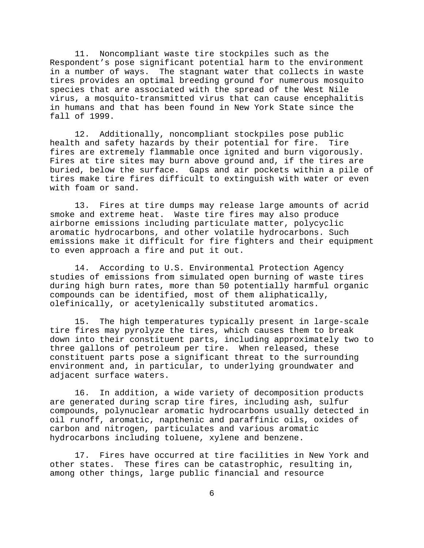11. Noncompliant waste tire stockpiles such as the Respondent's pose significant potential harm to the environment in a number of ways. The stagnant water that collects in waste tires provides an optimal breeding ground for numerous mosquito species that are associated with the spread of the West Nile virus, a mosquito-transmitted virus that can cause encephalitis in humans and that has been found in New York State since the fall of 1999.

12. Additionally, noncompliant stockpiles pose public health and safety hazards by their potential for fire. Tire fires are extremely flammable once ignited and burn vigorously. Fires at tire sites may burn above ground and, if the tires are buried, below the surface. Gaps and air pockets within a pile of tires make tire fires difficult to extinguish with water or even with foam or sand.

13. Fires at tire dumps may release large amounts of acrid smoke and extreme heat. Waste tire fires may also produce airborne emissions including particulate matter, polycyclic aromatic hydrocarbons, and other volatile hydrocarbons. Such emissions make it difficult for fire fighters and their equipment to even approach a fire and put it out.

14. According to U.S. Environmental Protection Agency studies of emissions from simulated open burning of waste tires during high burn rates, more than 50 potentially harmful organic compounds can be identified, most of them aliphatically, olefinically, or acetylenically substituted aromatics.

15. The high temperatures typically present in large-scale tire fires may pyrolyze the tires, which causes them to break down into their constituent parts, including approximately two to three gallons of petroleum per tire. When released, these constituent parts pose a significant threat to the surrounding environment and, in particular, to underlying groundwater and adjacent surface waters.

16. In addition, a wide variety of decomposition products are generated during scrap tire fires, including ash, sulfur compounds, polynuclear aromatic hydrocarbons usually detected in oil runoff, aromatic, napthenic and paraffinic oils, oxides of carbon and nitrogen, particulates and various aromatic hydrocarbons including toluene, xylene and benzene.

17. Fires have occurred at tire facilities in New York and other states. These fires can be catastrophic, resulting in, among other things, large public financial and resource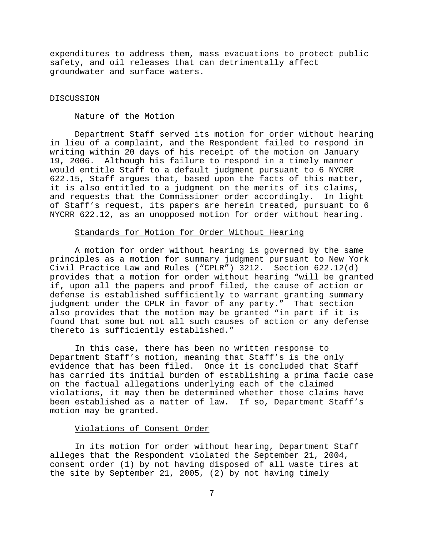expenditures to address them, mass evacuations to protect public safety, and oil releases that can detrimentally affect groundwater and surface waters.

# DISCUSSION

# Nature of the Motion

Department Staff served its motion for order without hearing in lieu of a complaint, and the Respondent failed to respond in writing within 20 days of his receipt of the motion on January 19, 2006. Although his failure to respond in a timely manner would entitle Staff to a default judgment pursuant to 6 NYCRR 622.15, Staff argues that, based upon the facts of this matter, it is also entitled to a judgment on the merits of its claims, and requests that the Commissioner order accordingly. In light of Staff's request, its papers are herein treated, pursuant to 6 NYCRR 622.12, as an unopposed motion for order without hearing.

# Standards for Motion for Order Without Hearing

A motion for order without hearing is governed by the same principles as a motion for summary judgment pursuant to New York Civil Practice Law and Rules ("CPLR") 3212. Section 622.12(d) provides that a motion for order without hearing "will be granted if, upon all the papers and proof filed, the cause of action or defense is established sufficiently to warrant granting summary judgment under the CPLR in favor of any party." That section also provides that the motion may be granted "in part if it is found that some but not all such causes of action or any defense thereto is sufficiently established."

In this case, there has been no written response to Department Staff's motion, meaning that Staff's is the only evidence that has been filed. Once it is concluded that Staff has carried its initial burden of establishing a prima facie case on the factual allegations underlying each of the claimed violations, it may then be determined whether those claims have been established as a matter of law. If so, Department Staff's motion may be granted.

#### Violations of Consent Order

In its motion for order without hearing, Department Staff alleges that the Respondent violated the September 21, 2004, consent order (1) by not having disposed of all waste tires at the site by September 21, 2005, (2) by not having timely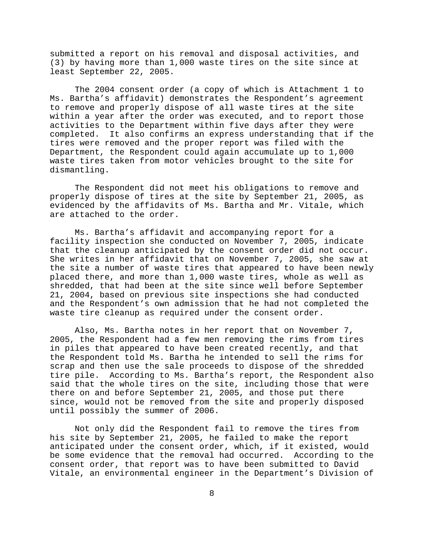submitted a report on his removal and disposal activities, and (3) by having more than 1,000 waste tires on the site since at least September 22, 2005.

The 2004 consent order (a copy of which is Attachment 1 to Ms. Bartha's affidavit) demonstrates the Respondent's agreement to remove and properly dispose of all waste tires at the site within a year after the order was executed, and to report those activities to the Department within five days after they were completed. It also confirms an express understanding that if the tires were removed and the proper report was filed with the Department, the Respondent could again accumulate up to 1,000 waste tires taken from motor vehicles brought to the site for dismantling.

The Respondent did not meet his obligations to remove and properly dispose of tires at the site by September 21, 2005, as evidenced by the affidavits of Ms. Bartha and Mr. Vitale, which are attached to the order.

Ms. Bartha's affidavit and accompanying report for a facility inspection she conducted on November 7, 2005, indicate that the cleanup anticipated by the consent order did not occur. She writes in her affidavit that on November 7, 2005, she saw at the site a number of waste tires that appeared to have been newly placed there, and more than 1,000 waste tires, whole as well as shredded, that had been at the site since well before September 21, 2004, based on previous site inspections she had conducted and the Respondent's own admission that he had not completed the waste tire cleanup as required under the consent order.

Also, Ms. Bartha notes in her report that on November 7, 2005, the Respondent had a few men removing the rims from tires in piles that appeared to have been created recently, and that the Respondent told Ms. Bartha he intended to sell the rims for scrap and then use the sale proceeds to dispose of the shredded tire pile. According to Ms. Bartha's report, the Respondent also said that the whole tires on the site, including those that were there on and before September 21, 2005, and those put there since, would not be removed from the site and properly disposed until possibly the summer of 2006.

Not only did the Respondent fail to remove the tires from his site by September 21, 2005, he failed to make the report anticipated under the consent order, which, if it existed, would be some evidence that the removal had occurred. According to the consent order, that report was to have been submitted to David Vitale, an environmental engineer in the Department's Division of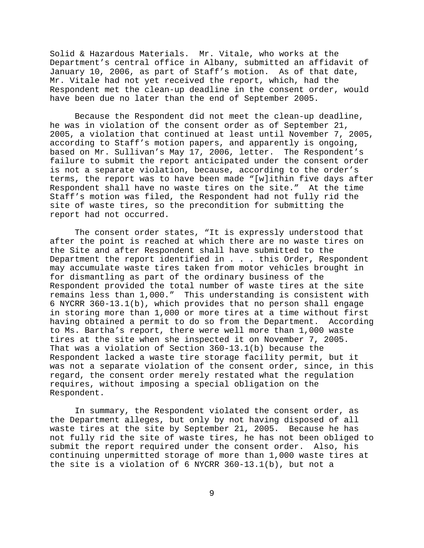Solid & Hazardous Materials. Mr. Vitale, who works at the Department's central office in Albany, submitted an affidavit of January 10, 2006, as part of Staff's motion. As of that date, Mr. Vitale had not yet received the report, which, had the Respondent met the clean-up deadline in the consent order, would have been due no later than the end of September 2005.

Because the Respondent did not meet the clean-up deadline, he was in violation of the consent order as of September 21, 2005, a violation that continued at least until November 7, 2005, according to Staff's motion papers, and apparently is ongoing, based on Mr. Sullivan's May 17, 2006, letter. The Respondent's failure to submit the report anticipated under the consent order is not a separate violation, because, according to the order's terms, the report was to have been made "[w]ithin five days after Respondent shall have no waste tires on the site." At the time Staff's motion was filed, the Respondent had not fully rid the site of waste tires, so the precondition for submitting the report had not occurred.

The consent order states, "It is expressly understood that after the point is reached at which there are no waste tires on the Site and after Respondent shall have submitted to the Department the report identified in . . . this Order, Respondent may accumulate waste tires taken from motor vehicles brought in for dismantling as part of the ordinary business of the Respondent provided the total number of waste tires at the site remains less than 1,000." This understanding is consistent with 6 NYCRR 360-13.1(b), which provides that no person shall engage in storing more than 1,000 or more tires at a time without first having obtained a permit to do so from the Department. According to Ms. Bartha's report, there were well more than 1,000 waste tires at the site when she inspected it on November 7, 2005. That was a violation of Section 360-13.1(b) because the Respondent lacked a waste tire storage facility permit, but it was not a separate violation of the consent order, since, in this regard, the consent order merely restated what the regulation requires, without imposing a special obligation on the Respondent.

In summary, the Respondent violated the consent order, as the Department alleges, but only by not having disposed of all waste tires at the site by September 21, 2005. Because he has not fully rid the site of waste tires, he has not been obliged to submit the report required under the consent order. Also, his continuing unpermitted storage of more than 1,000 waste tires at the site is a violation of 6 NYCRR 360-13.1(b), but not a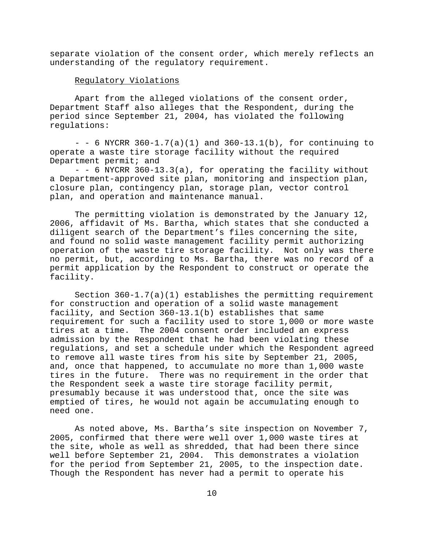separate violation of the consent order, which merely reflects an understanding of the regulatory requirement.

# Regulatory Violations

Apart from the alleged violations of the consent order, Department Staff also alleges that the Respondent, during the period since September 21, 2004, has violated the following regulations:

 $-$  - 6 NYCRR 360-1.7(a)(1) and 360-13.1(b), for continuing to operate a waste tire storage facility without the required Department permit; and

- - 6 NYCRR 360-13.3(a), for operating the facility without a Department-approved site plan, monitoring and inspection plan, closure plan, contingency plan, storage plan, vector control plan, and operation and maintenance manual.

The permitting violation is demonstrated by the January 12, 2006, affidavit of Ms. Bartha, which states that she conducted a diligent search of the Department's files concerning the site, and found no solid waste management facility permit authorizing operation of the waste tire storage facility. Not only was there no permit, but, according to Ms. Bartha, there was no record of a permit application by the Respondent to construct or operate the facility.

Section 360-1.7(a)(1) establishes the permitting requirement for construction and operation of a solid waste management facility, and Section 360-13.1(b) establishes that same requirement for such a facility used to store 1,000 or more waste tires at a time. The 2004 consent order included an express admission by the Respondent that he had been violating these regulations, and set a schedule under which the Respondent agreed to remove all waste tires from his site by September 21, 2005, and, once that happened, to accumulate no more than 1,000 waste tires in the future. There was no requirement in the order that the Respondent seek a waste tire storage facility permit, presumably because it was understood that, once the site was emptied of tires, he would not again be accumulating enough to need one.

As noted above, Ms. Bartha's site inspection on November 7, 2005, confirmed that there were well over 1,000 waste tires at the site, whole as well as shredded, that had been there since well before September 21, 2004. This demonstrates a violation for the period from September 21, 2005, to the inspection date. Though the Respondent has never had a permit to operate his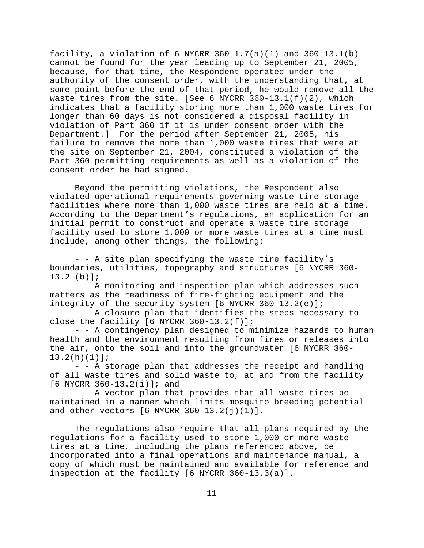facility, a violation of 6 NYCRR  $360-1.7(a)(1)$  and  $360-13.1(b)$ cannot be found for the year leading up to September 21, 2005, because, for that time, the Respondent operated under the authority of the consent order, with the understanding that, at some point before the end of that period, he would remove all the waste tires from the site. [See 6 NYCRR 360-13.1(f)(2), which indicates that a facility storing more than 1,000 waste tires for longer than 60 days is not considered a disposal facility in violation of Part 360 if it is under consent order with the Department.] For the period after September 21, 2005, his failure to remove the more than 1,000 waste tires that were at the site on September 21, 2004, constituted a violation of the Part 360 permitting requirements as well as a violation of the consent order he had signed.

Beyond the permitting violations, the Respondent also violated operational requirements governing waste tire storage facilities where more than 1,000 waste tires are held at a time. According to the Department's regulations, an application for an initial permit to construct and operate a waste tire storage facility used to store 1,000 or more waste tires at a time must include, among other things, the following:

- - A site plan specifying the waste tire facility's boundaries, utilities, topography and structures [6 NYCRR 360- 13.2 (b)];

- - A monitoring and inspection plan which addresses such matters as the readiness of fire-fighting equipment and the integrity of the security system  $[6 \text{ NYCRR } 360-13.2(e)]$ ;

- - A closure plan that identifies the steps necessary to close the facility  $[6$  NYCRR 360-13.2(f)];

- - A contingency plan designed to minimize hazards to human health and the environment resulting from fires or releases into the air, onto the soil and into the groundwater [6 NYCRR 360- 13.2(h)(1)];

- - A storage plan that addresses the receipt and handling of all waste tires and solid waste to, at and from the facility [6 NYCRR 360-13.2(i)]; and

- - A vector plan that provides that all waste tires be maintained in a manner which limits mosquito breeding potential and other vectors  $[6$  NYCRR  $360-13.2(j)(1)].$ 

The regulations also require that all plans required by the regulations for a facility used to store 1,000 or more waste tires at a time, including the plans referenced above, be incorporated into a final operations and maintenance manual, a copy of which must be maintained and available for reference and inspection at the facility [6 NYCRR 360-13.3(a)].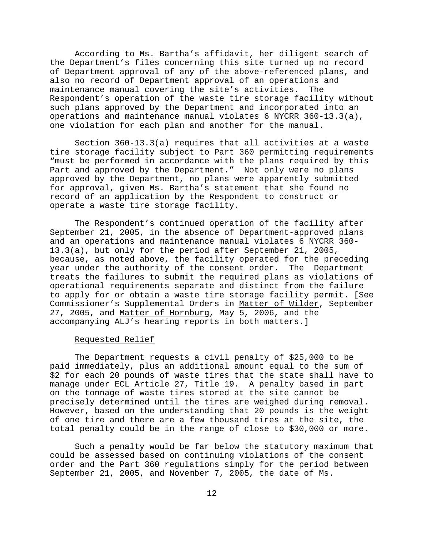According to Ms. Bartha's affidavit, her diligent search of the Department's files concerning this site turned up no record of Department approval of any of the above-referenced plans, and also no record of Department approval of an operations and maintenance manual covering the site's activities. The Respondent's operation of the waste tire storage facility without such plans approved by the Department and incorporated into an operations and maintenance manual violates 6 NYCRR 360-13.3(a), one violation for each plan and another for the manual.

Section 360-13.3(a) requires that all activities at a waste tire storage facility subject to Part 360 permitting requirements "must be performed in accordance with the plans required by this Part and approved by the Department." Not only were no plans approved by the Department, no plans were apparently submitted for approval, given Ms. Bartha's statement that she found no record of an application by the Respondent to construct or operate a waste tire storage facility.

The Respondent's continued operation of the facility after September 21, 2005, in the absence of Department-approved plans and an operations and maintenance manual violates 6 NYCRR 360- 13.3(a), but only for the period after September 21, 2005, because, as noted above, the facility operated for the preceding year under the authority of the consent order. The Department treats the failures to submit the required plans as violations of operational requirements separate and distinct from the failure to apply for or obtain a waste tire storage facility permit. [See Commissioner's Supplemental Orders in Matter of Wilder, September 27, 2005, and Matter of Hornburg, May 5, 2006, and the accompanying ALJ's hearing reports in both matters.]

#### Requested Relief

The Department requests a civil penalty of \$25,000 to be paid immediately, plus an additional amount equal to the sum of \$2 for each 20 pounds of waste tires that the state shall have to manage under ECL Article 27, Title 19. A penalty based in part on the tonnage of waste tires stored at the site cannot be precisely determined until the tires are weighed during removal. However, based on the understanding that 20 pounds is the weight of one tire and there are a few thousand tires at the site, the total penalty could be in the range of close to \$30,000 or more.

Such a penalty would be far below the statutory maximum that could be assessed based on continuing violations of the consent order and the Part 360 regulations simply for the period between September 21, 2005, and November 7, 2005, the date of Ms.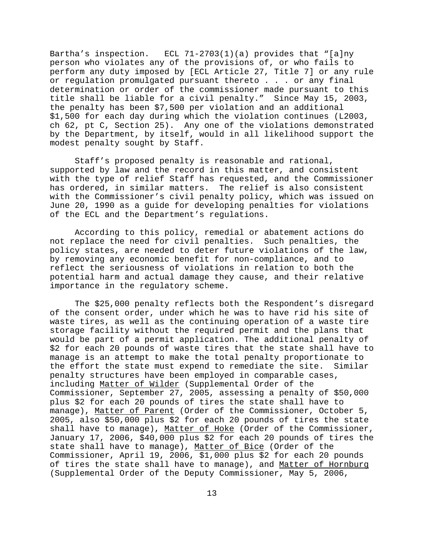Bartha's inspection. ECL  $71-2703(1)(a)$  provides that "[a]ny person who violates any of the provisions of, or who fails to perform any duty imposed by [ECL Article 27, Title 7] or any rule or regulation promulgated pursuant thereto . . . or any final determination or order of the commissioner made pursuant to this title shall be liable for a civil penalty." Since May 15, 2003, the penalty has been \$7,500 per violation and an additional \$1,500 for each day during which the violation continues (L2003, ch 62, pt C, Section 25). Any one of the violations demonstrated by the Department, by itself, would in all likelihood support the modest penalty sought by Staff.

Staff's proposed penalty is reasonable and rational, supported by law and the record in this matter, and consistent with the type of relief Staff has requested, and the Commissioner has ordered, in similar matters. The relief is also consistent with the Commissioner's civil penalty policy, which was issued on June 20, 1990 as a guide for developing penalties for violations of the ECL and the Department's regulations.

According to this policy, remedial or abatement actions do not replace the need for civil penalties. Such penalties, the policy states, are needed to deter future violations of the law, by removing any economic benefit for non-compliance, and to reflect the seriousness of violations in relation to both the potential harm and actual damage they cause, and their relative importance in the regulatory scheme.

The \$25,000 penalty reflects both the Respondent's disregard of the consent order, under which he was to have rid his site of waste tires, as well as the continuing operation of a waste tire storage facility without the required permit and the plans that would be part of a permit application. The additional penalty of \$2 for each 20 pounds of waste tires that the state shall have to manage is an attempt to make the total penalty proportionate to the effort the state must expend to remediate the site. Similar penalty structures have been employed in comparable cases, including Matter of Wilder (Supplemental Order of the Commissioner, September 27, 2005, assessing a penalty of \$50,000 plus \$2 for each 20 pounds of tires the state shall have to manage), Matter of Parent (Order of the Commissioner, October 5, 2005, also \$50,000 plus \$2 for each 20 pounds of tires the state shall have to manage), Matter of Hoke (Order of the Commissioner, January 17, 2006, \$40,000 plus \$2 for each 20 pounds of tires the state shall have to manage), Matter of Bice (Order of the Commissioner, April 19, 2006, \$1,000 plus \$2 for each 20 pounds of tires the state shall have to manage), and Matter of Hornburg (Supplemental Order of the Deputy Commissioner, May 5, 2006,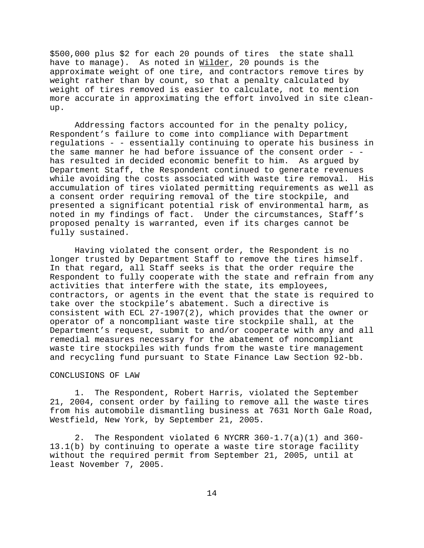\$500,000 plus \$2 for each 20 pounds of tires the state shall have to manage). As noted in Wilder, 20 pounds is the approximate weight of one tire, and contractors remove tires by weight rather than by count, so that a penalty calculated by weight of tires removed is easier to calculate, not to mention more accurate in approximating the effort involved in site cleanup.

Addressing factors accounted for in the penalty policy, Respondent's failure to come into compliance with Department regulations - - essentially continuing to operate his business in the same manner he had before issuance of the consent order - has resulted in decided economic benefit to him. As argued by Department Staff, the Respondent continued to generate revenues while avoiding the costs associated with waste tire removal. His accumulation of tires violated permitting requirements as well as a consent order requiring removal of the tire stockpile, and presented a significant potential risk of environmental harm, as noted in my findings of fact. Under the circumstances, Staff's proposed penalty is warranted, even if its charges cannot be fully sustained.

Having violated the consent order, the Respondent is no longer trusted by Department Staff to remove the tires himself. In that regard, all Staff seeks is that the order require the Respondent to fully cooperate with the state and refrain from any activities that interfere with the state, its employees, contractors, or agents in the event that the state is required to take over the stockpile's abatement. Such a directive is consistent with ECL 27-1907(2), which provides that the owner or operator of a noncompliant waste tire stockpile shall, at the Department's request, submit to and/or cooperate with any and all remedial measures necessary for the abatement of noncompliant waste tire stockpiles with funds from the waste tire management and recycling fund pursuant to State Finance Law Section 92-bb.

# CONCLUSIONS OF LAW

1. The Respondent, Robert Harris, violated the September 21, 2004, consent order by failing to remove all the waste tires from his automobile dismantling business at 7631 North Gale Road, Westfield, New York, by September 21, 2005.

2. The Respondent violated 6 NYCRR 360-1.7(a)(1) and 360- 13.1(b) by continuing to operate a waste tire storage facility without the required permit from September 21, 2005, until at least November 7, 2005.